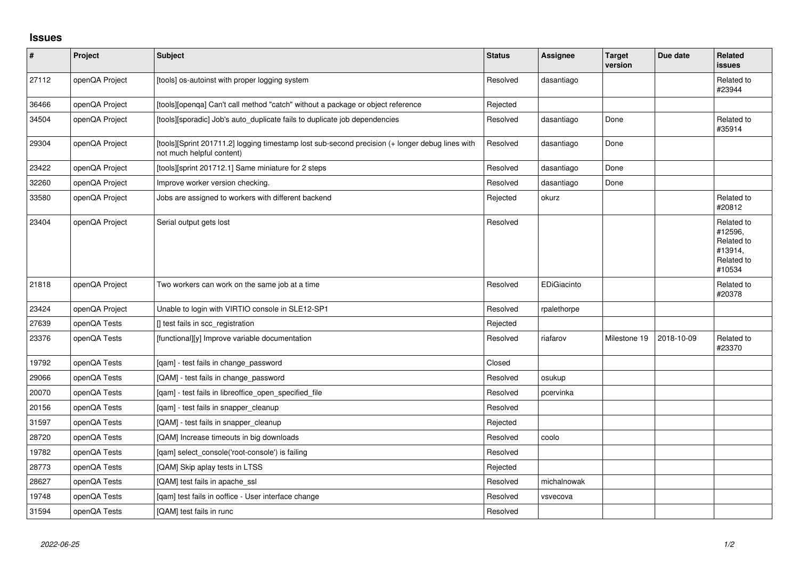## **Issues**

| $\pmb{\#}$ | Project        | <b>Subject</b>                                                                                                               | <b>Status</b> | Assignee    | <b>Target</b><br>version | Due date   | <b>Related</b><br>issues                                               |
|------------|----------------|------------------------------------------------------------------------------------------------------------------------------|---------------|-------------|--------------------------|------------|------------------------------------------------------------------------|
| 27112      | openQA Project | [tools] os-autoinst with proper logging system                                                                               | Resolved      | dasantiago  |                          |            | Related to<br>#23944                                                   |
| 36466      | openQA Project | [tools][openqa] Can't call method "catch" without a package or object reference                                              | Rejected      |             |                          |            |                                                                        |
| 34504      | openQA Project | [tools][sporadic] Job's auto_duplicate fails to duplicate job dependencies                                                   | Resolved      | dasantiago  | Done                     |            | Related to<br>#35914                                                   |
| 29304      | openQA Project | [tools][Sprint 201711.2] logging timestamp lost sub-second precision (+ longer debug lines with<br>not much helpful content) | Resolved      | dasantiago  | Done                     |            |                                                                        |
| 23422      | openQA Project | [tools][sprint 201712.1] Same miniature for 2 steps                                                                          | Resolved      | dasantiago  | Done                     |            |                                                                        |
| 32260      | openQA Project | Improve worker version checking.                                                                                             | Resolved      | dasantiago  | Done                     |            |                                                                        |
| 33580      | openQA Project | Jobs are assigned to workers with different backend                                                                          | Rejected      | okurz       |                          |            | Related to<br>#20812                                                   |
| 23404      | openQA Project | Serial output gets lost                                                                                                      | Resolved      |             |                          |            | Related to<br>#12596,<br>Related to<br>#13914,<br>Related to<br>#10534 |
| 21818      | openQA Project | Two workers can work on the same job at a time                                                                               | Resolved      | EDiGiacinto |                          |            | Related to<br>#20378                                                   |
| 23424      | openQA Project | Unable to login with VIRTIO console in SLE12-SP1                                                                             | Resolved      | rpalethorpe |                          |            |                                                                        |
| 27639      | openQA Tests   | [] test fails in scc registration                                                                                            | Rejected      |             |                          |            |                                                                        |
| 23376      | openQA Tests   | [functional][y] Improve variable documentation                                                                               | Resolved      | riafarov    | Milestone 19             | 2018-10-09 | Related to<br>#23370                                                   |
| 19792      | openQA Tests   | [qam] - test fails in change_password                                                                                        | Closed        |             |                          |            |                                                                        |
| 29066      | openQA Tests   | [QAM] - test fails in change_password                                                                                        | Resolved      | osukup      |                          |            |                                                                        |
| 20070      | openQA Tests   | [qam] - test fails in libreoffice_open_specified_file                                                                        | Resolved      | pcervinka   |                          |            |                                                                        |
| 20156      | openQA Tests   | [qam] - test fails in snapper_cleanup                                                                                        | Resolved      |             |                          |            |                                                                        |
| 31597      | openQA Tests   | [QAM] - test fails in snapper_cleanup                                                                                        | Rejected      |             |                          |            |                                                                        |
| 28720      | openQA Tests   | [QAM] Increase timeouts in big downloads                                                                                     | Resolved      | coolo       |                          |            |                                                                        |
| 19782      | openQA Tests   | [gam] select console('root-console') is failing                                                                              | Resolved      |             |                          |            |                                                                        |
| 28773      | openQA Tests   | [QAM] Skip aplay tests in LTSS                                                                                               | Rejected      |             |                          |            |                                                                        |
| 28627      | openQA Tests   | [QAM] test fails in apache_ssl                                                                                               | Resolved      | michalnowak |                          |            |                                                                        |
| 19748      | openQA Tests   | [qam] test fails in ooffice - User interface change                                                                          | Resolved      | vsvecova    |                          |            |                                                                        |
| 31594      | openQA Tests   | [QAM] test fails in runc                                                                                                     | Resolved      |             |                          |            |                                                                        |